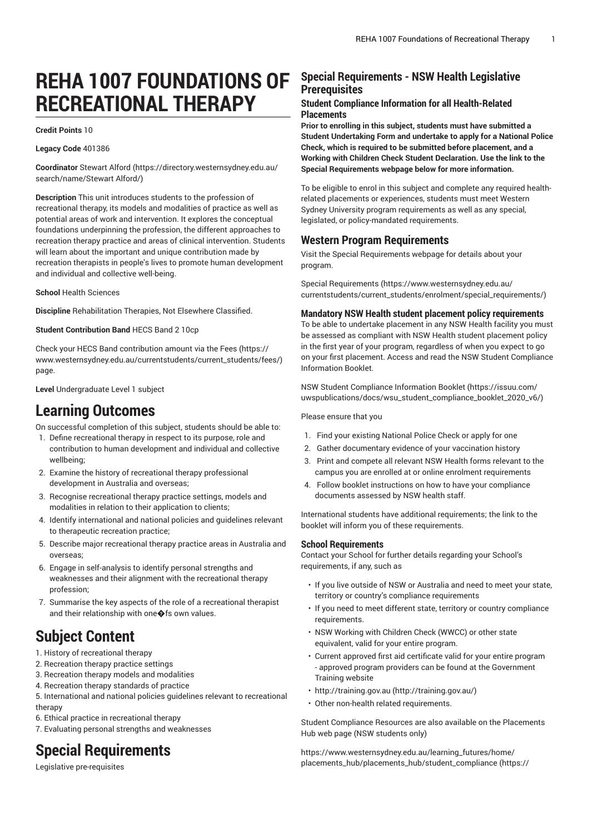# **REHA 1007 FOUNDATIONS OF RECREATIONAL THERAPY**

#### **Credit Points** 10

**Legacy Code** 401386

**Coordinator** [Stewart](https://directory.westernsydney.edu.au/search/name/Stewart Alford/) Alford ([https://directory.westernsydney.edu.au/](https://directory.westernsydney.edu.au/search/name/Stewart Alford/) [search/name/Stewart](https://directory.westernsydney.edu.au/search/name/Stewart Alford/) Alford/)

**Description** This unit introduces students to the profession of recreational therapy, its models and modalities of practice as well as potential areas of work and intervention. It explores the conceptual foundations underpinning the profession, the different approaches to recreation therapy practice and areas of clinical intervention. Students will learn about the important and unique contribution made by recreation therapists in people's lives to promote human development and individual and collective well-being.

**School** Health Sciences

**Discipline** Rehabilitation Therapies, Not Elsewhere Classified.

**Student Contribution Band** HECS Band 2 10cp

Check your HECS Band contribution amount via the [Fees \(https://](https://www.westernsydney.edu.au/currentstudents/current_students/fees/) [www.westernsydney.edu.au/currentstudents/current\\_students/fees/\)](https://www.westernsydney.edu.au/currentstudents/current_students/fees/) page.

**Level** Undergraduate Level 1 subject

## **Learning Outcomes**

On successful completion of this subject, students should be able to:

- 1. Define recreational therapy in respect to its purpose, role and contribution to human development and individual and collective wellbeing;
- 2. Examine the history of recreational therapy professional development in Australia and overseas;
- 3. Recognise recreational therapy practice settings, models and modalities in relation to their application to clients;
- 4. Identify international and national policies and guidelines relevant to therapeutic recreation practice;
- 5. Describe major recreational therapy practice areas in Australia and overseas;
- 6. Engage in self-analysis to identify personal strengths and weaknesses and their alignment with the recreational therapy profession;
- 7. Summarise the key aspects of the role of a recreational therapist and their relationship with one  $\bigcirc$  fs own values.

## **Subject Content**

1. History of recreational therapy

- 2. Recreation therapy practice settings
- 3. Recreation therapy models and modalities
- 4. Recreation therapy standards of practice

5. International and national policies guidelines relevant to recreational therapy

6. Ethical practice in recreational therapy

7. Evaluating personal strengths and weaknesses

## **Special Requirements**

Legislative pre-requisites

### **Special Requirements - NSW Health Legislative Prerequisites**

#### **Student Compliance Information for all Health-Related Placements**

**Prior to enrolling in this subject, students must have submitted a Student Undertaking Form and undertake to apply for a National Police Check, which is required to be submitted before placement, and a Working with Children Check Student Declaration. Use the link to the Special Requirements webpage below for more information.**

To be eligible to enrol in this subject and complete any required healthrelated placements or experiences, students must meet Western Sydney University program requirements as well as any special, legislated, or policy-mandated requirements.

#### **Western Program Requirements**

Visit the Special Requirements webpage for details about your program.

Special [Requirements \(https://www.westernsydney.edu.au/](https://www.westernsydney.edu.au/currentstudents/current_students/enrolment/special_requirements/) [currentstudents/current\\_students/enrolment/special\\_requirements/](https://www.westernsydney.edu.au/currentstudents/current_students/enrolment/special_requirements/))

#### **Mandatory NSW Health student placement policy requirements**

To be able to undertake placement in any NSW Health facility you must be assessed as compliant with NSW Health student placement policy in the first year of your program, regardless of when you expect to go on your first placement. Access and read the NSW Student Compliance Information Booklet.

[NSW Student Compliance Information Booklet](https://issuu.com/uwspublications/docs/wsu_student_compliance_booklet_2020_v6/) ([https://issuu.com/](https://issuu.com/uwspublications/docs/wsu_student_compliance_booklet_2020_v6/) [uwspublications/docs/wsu\\_student\\_compliance\\_booklet\\_2020\\_v6/](https://issuu.com/uwspublications/docs/wsu_student_compliance_booklet_2020_v6/))

Please ensure that you

- 1. Find your existing National Police Check or apply for one
- 2. Gather documentary evidence of your vaccination history
- 3. Print and compete all relevant NSW Health forms relevant to the campus you are enrolled at or online enrolment requirements
- 4. Follow booklet instructions on how to have your compliance documents assessed by NSW health staff.

International students have additional requirements; the link to the booklet will inform you of these requirements.

#### **School Requirements**

Contact your School for further details regarding your School's requirements, if any, such as

- If you live outside of NSW or Australia and need to meet your state, territory or country's compliance requirements
- If you need to meet different state, territory or country compliance requirements.
- NSW Working with Children Check (WWCC) or other state equivalent, valid for your entire program.
- Current approved first aid certificate valid for your entire program - approved program providers can be found at the Government Training website
- [http://training.gov.au \(http://training.gov.au/\)](http://training.gov.au/)
- Other non-health related requirements.

Student Compliance Resources are also available on the Placements Hub web page (NSW students only)

[https://www.westernsydney.edu.au/learning\\_futures/home/](https://www.westernsydney.edu.au/learning_futures/home/placements_hub/placements_hub/student_compliance/) [placements\\_hub/placements\\_hub/student\\_compliance](https://www.westernsydney.edu.au/learning_futures/home/placements_hub/placements_hub/student_compliance/) [\(https://](https://www.westernsydney.edu.au/learning_futures/home/placements_hub/placements_hub/student_compliance/)